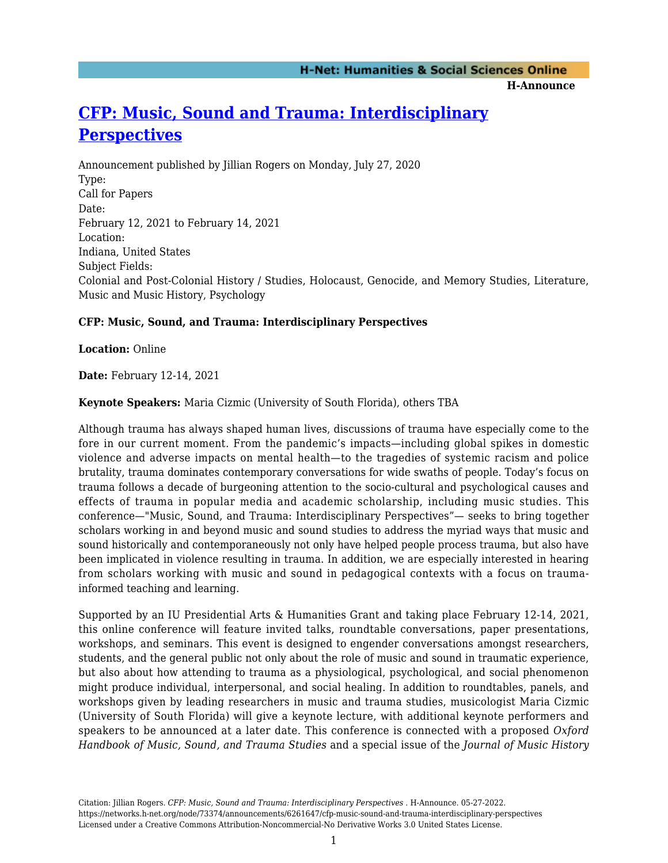**H-Announce** 

## **[CFP: Music, Sound and Trauma: Interdisciplinary](https://networks.h-net.org/node/73374/announcements/6261647/cfp-music-sound-and-trauma-interdisciplinary-perspectives) [Perspectives](https://networks.h-net.org/node/73374/announcements/6261647/cfp-music-sound-and-trauma-interdisciplinary-perspectives)**

Announcement published by Jillian Rogers on Monday, July 27, 2020 Type: Call for Papers Date: February 12, 2021 to February 14, 2021 Location: Indiana, United States Subject Fields: Colonial and Post-Colonial History / Studies, Holocaust, Genocide, and Memory Studies, Literature, Music and Music History, Psychology

## **CFP: Music, Sound, and Trauma: Interdisciplinary Perspectives**

**Location:** Online

**Date:** February 12-14, 2021

**Keynote Speakers:** Maria Cizmic (University of South Florida), others TBA

Although trauma has always shaped human lives, discussions of trauma have especially come to the fore in our current moment. From the pandemic's impacts—including global spikes in domestic violence and adverse impacts on mental health—to the tragedies of systemic racism and police brutality, trauma dominates contemporary conversations for wide swaths of people. Today's focus on trauma follows a decade of burgeoning attention to the socio-cultural and psychological causes and effects of trauma in popular media and academic scholarship, including music studies. This conference—"Music, Sound, and Trauma: Interdisciplinary Perspectives"— seeks to bring together scholars working in and beyond music and sound studies to address the myriad ways that music and sound historically and contemporaneously not only have helped people process trauma, but also have been implicated in violence resulting in trauma. In addition, we are especially interested in hearing from scholars working with music and sound in pedagogical contexts with a focus on traumainformed teaching and learning.

Supported by an IU Presidential Arts & Humanities Grant and taking place February 12-14, 2021, this online conference will feature invited talks, roundtable conversations, paper presentations, workshops, and seminars. This event is designed to engender conversations amongst researchers, students, and the general public not only about the role of music and sound in traumatic experience, but also about how attending to trauma as a physiological, psychological, and social phenomenon might produce individual, interpersonal, and social healing. In addition to roundtables, panels, and workshops given by leading researchers in music and trauma studies, musicologist Maria Cizmic (University of South Florida) will give a keynote lecture, with additional keynote performers and speakers to be announced at a later date. This conference is connected with a proposed *Oxford Handbook of Music, Sound, and Trauma Studies* and a special issue of the *Journal of Music History*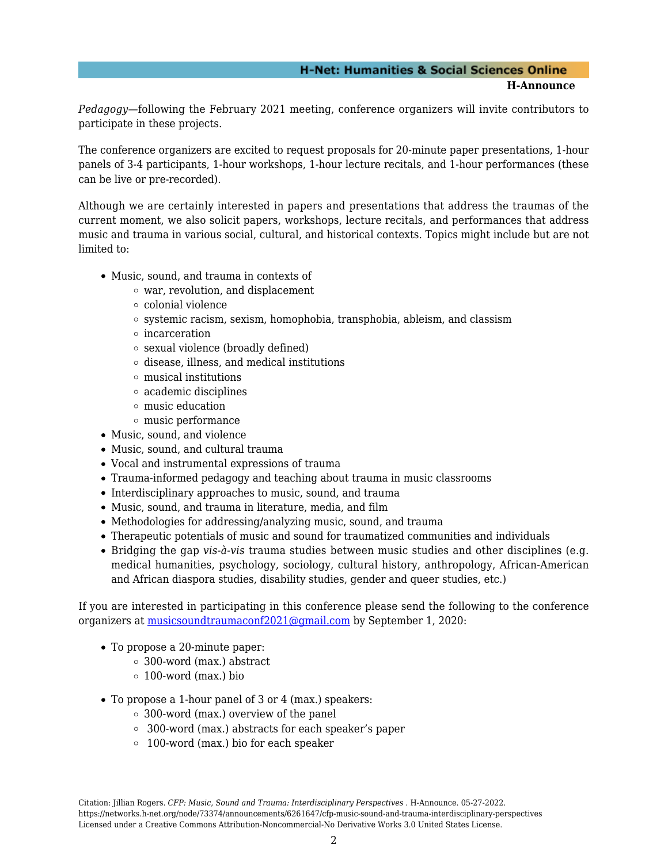## **H-Net: Humanities & Social Sciences Online H-Announce**

*Pedagogy—*following the February 2021 meeting, conference organizers will invite contributors to participate in these projects.

The conference organizers are excited to request proposals for 20-minute paper presentations, 1-hour panels of 3-4 participants, 1-hour workshops, 1-hour lecture recitals, and 1-hour performances (these can be live or pre-recorded).

Although we are certainly interested in papers and presentations that address the traumas of the current moment, we also solicit papers, workshops, lecture recitals, and performances that address music and trauma in various social, cultural, and historical contexts. Topics might include but are not limited to:

- Music, sound, and trauma in contexts of
	- war, revolution, and displacement
	- colonial violence
	- $\circ$  systemic racism, sexism, homophobia, transphobia, ableism, and classism
	- incarceration
	- sexual violence (broadly defined)
	- $\circ$  disease, illness, and medical institutions
	- musical institutions
	- academic disciplines
	- music education
	- $\circ$  music performance
- Music, sound, and violence
- Music, sound, and cultural trauma
- Vocal and instrumental expressions of trauma
- Trauma-informed pedagogy and teaching about trauma in music classrooms
- Interdisciplinary approaches to music, sound, and trauma
- Music, sound, and trauma in literature, media, and film
- Methodologies for addressing/analyzing music, sound, and trauma
- Therapeutic potentials of music and sound for traumatized communities and individuals
- Bridging the gap *vis-à-vis* trauma studies between music studies and other disciplines (e.g. medical humanities, psychology, sociology, cultural history, anthropology, African-American and African diaspora studies, disability studies, gender and queer studies, etc.)

If you are interested in participating in this conference please send the following to the conference organizers at [musicsoundtraumaconf2021@gmail.com](mailto:musicsoundtraumaconf2021@gmail.com) by September 1, 2020:

- To propose a 20-minute paper:
	- 300-word (max.) abstract
		- $\circ$  100-word (max.) bio
- To propose a 1-hour panel of 3 or 4 (max.) speakers:
	- 300-word (max.) overview of the panel
	- 300-word (max.) abstracts for each speaker's paper
	- 100-word (max.) bio for each speaker